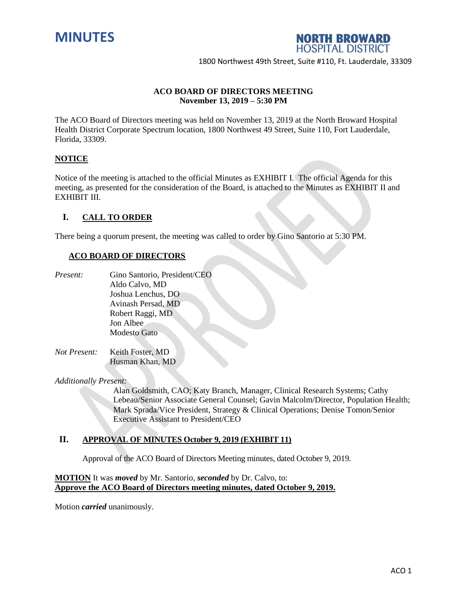



## **ACO BOARD OF DIRECTORS MEETING November 13, 2019 – 5:30 PM**

The ACO Board of Directors meeting was held on November 13, 2019 at the North Broward Hospital Health District Corporate Spectrum location, 1800 Northwest 49 Street, Suite 110, Fort Lauderdale, Florida, 33309.

### **NOTICE**

Notice of the meeting is attached to the official Minutes as EXHIBIT I. The official Agenda for this meeting, as presented for the consideration of the Board, is attached to the Minutes as EXHIBIT II and EXHIBIT III.

### **I. CALL TO ORDER**

There being a quorum present, the meeting was called to order by Gino Santorio at 5:30 PM.

#### **ACO BOARD OF DIRECTORS**

- *Present:* Gino Santorio, President/CEO Aldo Calvo, MD Joshua Lenchus, DO Avinash Persad, MD Robert Raggi, MD Jon Albee Modesto Gato
- *Not Present:* Keith Foster, MD Husman Khan, MD

*Additionally Present:*

Alan Goldsmith, CAO; Katy Branch, Manager, Clinical Research Systems; Cathy Lebeau/Senior Associate General Counsel; Gavin Malcolm/Director, Population Health; Mark Sprada/Vice President, Strategy & Clinical Operations; Denise Tomon/Senior Executive Assistant to President/CEO

#### **II. APPROVAL OF MINUTES October 9, 2019 (EXHIBIT 11)**

Approval of the ACO Board of Directors Meeting minutes, dated October 9, 2019.

## **MOTION** It was *moved* by Mr. Santorio, *seconded* by Dr. Calvo, to: **Approve the ACO Board of Directors meeting minutes, dated October 9, 2019.**

Motion *carried* unanimously.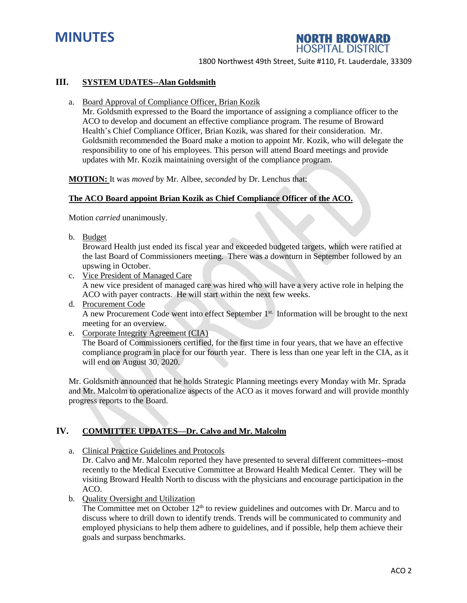



#### **III. SYSTEM UDATES--Alan Goldsmith**

a. Board Approval of Compliance Officer, Brian Kozik

Mr. Goldsmith expressed to the Board the importance of assigning a compliance officer to the ACO to develop and document an effective compliance program. The resume of Broward Health's Chief Compliance Officer, Brian Kozik, was shared for their consideration. Mr. Goldsmith recommended the Board make a motion to appoint Mr. Kozik, who will delegate the responsibility to one of his employees. This person will attend Board meetings and provide updates with Mr. Kozik maintaining oversight of the compliance program.

**MOTION:** It was *moved* by Mr. Albee, *seconded* by Dr. Lenchus that:

### **The ACO Board appoint Brian Kozik as Chief Compliance Officer of the ACO.**

Motion *carried* unanimously.

b. Budget

Broward Health just ended its fiscal year and exceeded budgeted targets, which were ratified at the last Board of Commissioners meeting. There was a downturn in September followed by an upswing in October.

- c. Vice President of Managed Care A new vice president of managed care was hired who will have a very active role in helping the ACO with payer contracts. He will start within the next few weeks.
- d. Procurement Code A new Procurement Code went into effect September 1<sup>st.</sup> Information will be brought to the next meeting for an overview.
- e. Corporate Integrity Agreement (CIA)

The Board of Commissioners certified, for the first time in four years, that we have an effective compliance program in place for our fourth year. There is less than one year left in the CIA, as it will end on August 30, 2020.

Mr. Goldsmith announced that he holds Strategic Planning meetings every Monday with Mr. Sprada and Mr. Malcolm to operationalize aspects of the ACO as it moves forward and will provide monthly progress reports to the Board.

### **IV. COMMITTEE UPDATES—Dr. Calvo and Mr. Malcolm**

a. Clinical Practice Guidelines and Protocols

Dr. Calvo and Mr. Malcolm reported they have presented to several different committees--most recently to the Medical Executive Committee at Broward Health Medical Center. They will be visiting Broward Health North to discuss with the physicians and encourage participation in the ACO.

b. Quality Oversight and Utilization

The Committee met on October  $12<sup>th</sup>$  to review guidelines and outcomes with Dr. Marcu and to discuss where to drill down to identify trends. Trends will be communicated to community and employed physicians to help them adhere to guidelines, and if possible, help them achieve their goals and surpass benchmarks.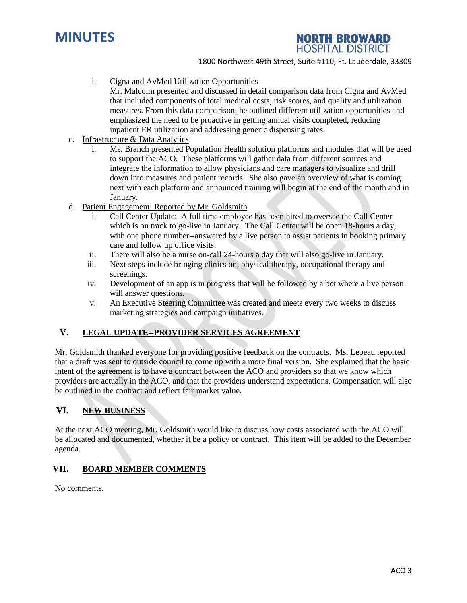



- i. Cigna and AvMed Utilization Opportunities
	- Mr. Malcolm presented and discussed in detail comparison data from Cigna and AvMed that included components of total medical costs, risk scores, and quality and utilization measures. From this data comparison, he outlined different utilization opportunities and emphasized the need to be proactive in getting annual visits completed, reducing inpatient ER utilization and addressing generic dispensing rates.
- c. Infrastructure & Data Analytics
	- i. Ms. Branch presented Population Health solution platforms and modules that will be used to support the ACO. These platforms will gather data from different sources and integrate the information to allow physicians and care managers to visualize and drill down into measures and patient records. She also gave an overview of what is coming next with each platform and announced training will begin at the end of the month and in January.
- d. Patient Engagement: Reported by Mr. Goldsmith
	- i. Call Center Update: A full time employee has been hired to oversee the Call Center which is on track to go-live in January. The Call Center will be open 18-hours a day, with one phone number--answered by a live person to assist patients in booking primary care and follow up office visits.
	- ii. There will also be a nurse on-call 24-hours a day that will also go-live in January.
	- iii. Next steps include bringing clinics on, physical therapy, occupational therapy and screenings.
	- iv. Development of an app is in progress that will be followed by a bot where a live person will answer questions.
	- v. An Executive Steering Committee was created and meets every two weeks to discuss marketing strategies and campaign initiatives.

# **V. LEGAL UPDATE--PROVIDER SERVICES AGREEMENT**

Mr. Goldsmith thanked everyone for providing positive feedback on the contracts. Ms. Lebeau reported that a draft was sent to outside council to come up with a more final version. She explained that the basic intent of the agreement is to have a contract between the ACO and providers so that we know which providers are actually in the ACO, and that the providers understand expectations. Compensation will also be outlined in the contract and reflect fair market value.

## **VI. NEW BUSINESS**

At the next ACO meeting, Mr. Goldsmith would like to discuss how costs associated with the ACO will be allocated and documented, whether it be a policy or contract. This item will be added to the December agenda.

## **VII. BOARD MEMBER COMMENTS**

No comments.